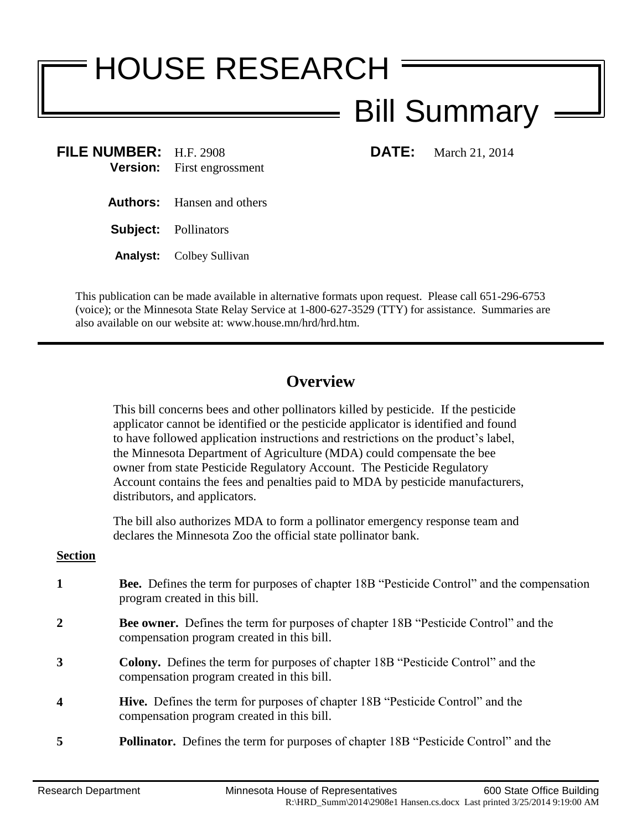## HOUSE RESEARCH Bill Summary

**FILE NUMBER:** H.F. 2908 **DATE:** March 21, 2014 **Version:** First engrossment

- **Authors:** Hansen and others
- **Subject:** Pollinators
- **Analyst:** Colbey Sullivan

This publication can be made available in alternative formats upon request. Please call 651-296-6753 (voice); or the Minnesota State Relay Service at 1-800-627-3529 (TTY) for assistance. Summaries are also available on our website at: www.house.mn/hrd/hrd.htm.

## **Overview**

This bill concerns bees and other pollinators killed by pesticide. If the pesticide applicator cannot be identified or the pesticide applicator is identified and found to have followed application instructions and restrictions on the product's label, the Minnesota Department of Agriculture (MDA) could compensate the bee owner from state Pesticide Regulatory Account. The Pesticide Regulatory Account contains the fees and penalties paid to MDA by pesticide manufacturers, distributors, and applicators.

The bill also authorizes MDA to form a pollinator emergency response team and declares the Minnesota Zoo the official state pollinator bank.

## **Section**

**1 Bee.** Defines the term for purposes of chapter 18B "Pesticide Control" and the compensation program created in this bill. **2 Bee owner.** Defines the term for purposes of chapter 18B "Pesticide Control" and the compensation program created in this bill. **3 Colony.** Defines the term for purposes of chapter 18B "Pesticide Control" and the compensation program created in this bill. **4 Hive.** Defines the term for purposes of chapter 18B "Pesticide Control" and the compensation program created in this bill. **5 Pollinator.** Defines the term for purposes of chapter 18B "Pesticide Control" and the